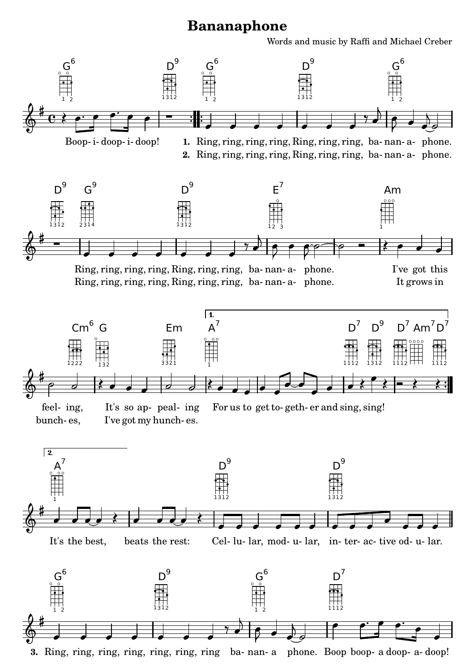## **Bananaphone**

Words and music by Raffi and Michael Creber



3. Ring, ring, ring, ring, ring, ring b[a](textedit:///home/matt/Documents/sheet%20music/ukulele/bananaphone.ly:267:30:30)- nan- a phone. Boop boop- a [doop-](textedit:///home/matt/Documents/sheet%20music/ukulele/bananaphone.ly:268:17:17) [a-](textedit:///home/matt/Documents/sheet%20music/ukulele/bananaphone.ly:268:23:23) [doop!](textedit:///home/matt/Documents/sheet%20music/ukulele/bananaphone.ly:268:26:26)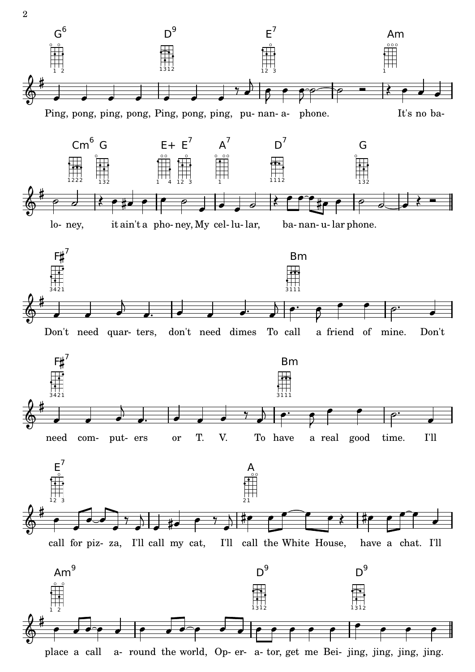

a- round the world, Op- er- a- tor, get me [Bei-](textedit:///home/matt/Documents/sheet%20music/ukulele/bananaphone.ly:285:27:27) [jing,](textedit:///home/matt/Documents/sheet%20music/ukulele/bananaphone.ly:285:44:44) jing, jing, [jing.](textedit:///home/matt/Documents/sheet%20music/ukulele/bananaphone.ly:285:50:50) [place](textedit:///home/matt/Documents/sheet%20music/ukulele/bananaphone.ly:284:9:9) [a](textedit:///home/matt/Documents/sheet%20music/ukulele/bananaphone.ly:284:15:15) [call](textedit:///home/matt/Documents/sheet%20music/ukulele/bananaphone.ly:284:17:17)